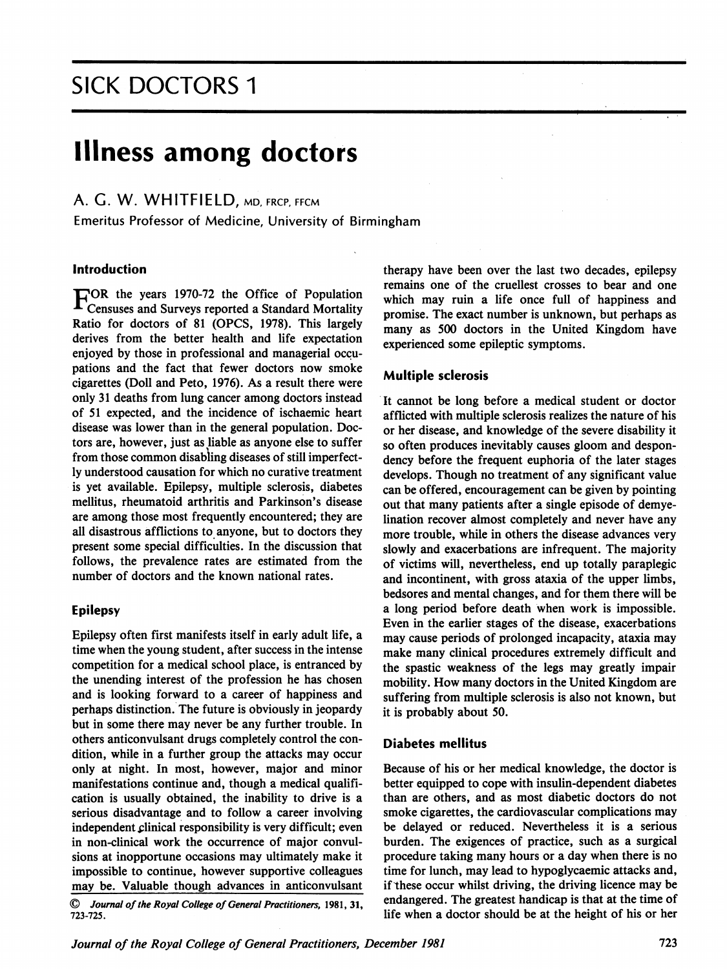## SICK DOCTORS <sup>1</sup>

# Illness among doctors

## A. G. W. WHITFIELD, MD, FRCP, FFCM

Emeritus Professor of Medicine, University of Birmingham

#### Introduction

 $\Gamma$ OR the years 1970-72 the Office of Population  $\blacktriangle$  Censuses and Surveys reported a Standard Mortality Ratio for doctors of 81 (OPCS, 1978). This largely derives from the better health and life expectation enjoyed by those in professional and managerial occupations and the fact that fewer doctors now smoke cigarettes (Doll and Peto, 1976). As a result there were only <sup>31</sup> deaths from lung cancer among doctors instead of <sup>51</sup> expected, and the incidence of ischaemic heart disease was lower than in the general population. Doctors are, however, just as liable as anyone else to suffer from those common disabling diseases of still imperfectly understood causation for which no curative treatment is yet available. Epilepsy, multiple sclerosis, diabetes mellitus, rheumatoid arthritis and Parkinson's disease are among those most frequently encountered; they are all disastrous afflictions to anyone, but to doctors they present some special difficulties. In the discussion that follows, the prevalence rates are estimated from the number of doctors and the known national rates.

#### Epilepsy

Epilepsy often first manifests itself in early adult life, a time when the young student, after success in the intense competition for a medical school place, is entranced by the unending interest of the profession he has chosen and is looking forward to a career of happiness and perhaps distinction. The future is obviously in jeopardy but in some there may never be any further trouble. In others anticonvulsant drugs completely control the condition, while in a further group the attacks may occur only at night. In most, however, major and minor manifestations continue and, though a medical qualification is usually obtained, the inability to drive is a serious disadvantage and to follow a career involving independent clinical responsibility is very difficult; even in non-clinical work the occurrence of major convulsions at inopportune occasions may ultimately make it impossible to continue, however supportive colleagues may be. Valuable though advances in anticonvulsant

 $\mathbb O$  Journal of the Royal College of General Practitioners, 1981, 31, 723-725.

therapy have been over the last two decades, epilepsy remains one of the cruellest crosses to bear and one which may ruin a life once full of happiness and promise. The exact number is unknown, but perhaps as many as 500 doctors in the United Kingdom have experienced some epileptic symptoms.

#### Multiple sclerosis

It cannot be long before a medical student or doctor afflicted with multiple sclerosis realizes the nature of his or her disease, and knowledge of the severe disability it so often produces inevitably causes gloom and despondency before the frequent euphoria of the later stages develops. Though no treatment of any significant value can be offered, encouragement can be given by pointing out that many patients after a single episode of demyelination recover almost completely and never have any more trouble, while in others the disease advances very slowly and exacerbations are infrequent. The majority of victims will, nevertheless, end up totally paraplegic and incontinent, with gross ataxia of the upper limbs, bedsores and mental changes, and for them there will be a long period before death when work is impossible. Even in the earlier stages of the disease, exacerbations may cause periods of prolonged incapacity, ataxia may make many clinical procedures extremely difficult and the spastic weakness of the legs may greatly impair mobility. How many doctors in the United Kingdom are suffering from multiple sclerosis is also not known, but it is probably about 50.

#### Diabetes mellitus

Because of his or her medical knowledge, the doctor is better equipped to cope with insulin-dependent diabetes than are others, and as most diabetic doctors do not smoke cigarettes, the cardiovascular complications may be delayed or reduced. Nevertheless it is a serious burden. The exigences of practice, such as a surgical procedure taking many hours or a day when there is no time for lunch, may lead to hypoglycaemic attacks and, if these occur whilst driving, the driving licence may be endangered. The greatest handicap is that at the time of life when a doctor should be at the height of his or her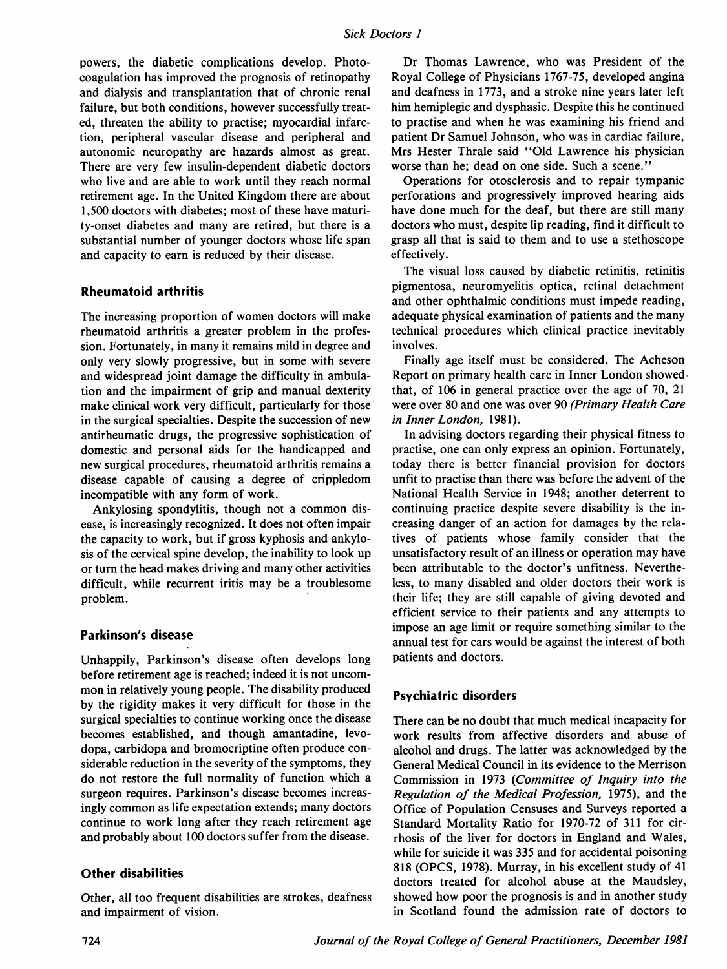powers, the diabetic complications develop. Photocoagulation has improved the prognosis of retinopathy and dialysis and transplantation that of chronic renal failure, but both conditions, however successfully treated, threaten the ability to practise; myocardial infarction, peripheral vascular disease and peripheral and autonomic neuropathy are hazards almost as great. There are very few insulin-dependent diabetic doctors who live and are able to work until they reach normal retirement age. In the United Kingdom there are about 1,500 doctors with diabetes; most of these have maturity-onset diabetes and many are retired, but there is a substantial number of younger doctors whose life span and capacity to earn is reduced by their disease.

#### Rheumatoid arthritis

The increasing proportion of women doctors will make rheumatoid arthritis a greater problem in the profession. Fortunately, in many it remains mild in degree and only very slowly progressive, but in some with severe and widespread joint damage the difficulty in ambulation and the impairment of grip and manual dexterity make clinical work very difficult, particularly for those in the surgical specialties. Despite the succession of new antirheumatic drugs, the progressive sophistication of domestic and personal aids for the handicapped and new surgical procedures, rheumatoid arthritis remains a disease capable of causing a degree of crippledom incompatible with any form of work.

Ankylosing spondylitis, though not a common disease, is increasingly recognized. It does not often impair the capacity to work, but if gross kyphosis and ankylosis of the cervical spine develop, the inability to look up or turn the head makes driving and many other activities difficult, while recurrent iritis may be a troublesome problem.

## Parkinson's disease

Unhappily, Parkinson's disease often develops long before retirement age is reached; indeed it is not uncommon in relatively young people. The disability produced by the rigidity makes it very difficult for those in the surgical specialties to continue working once the disease becomes established, and though amantadine, levodopa, carbidopa and bromocriptine often produce considerable reduction in the severity of the symptoms, they do not restore the full normality of function which a surgeon requires. Parkinson's disease becomes increasingly common as life expectation extends; many doctors continue to work long after they reach retirement age and probably about <sup>100</sup> doctors suffer from the disease.

## Other disabilities

Other, all too frequent disabilities are strokes, deafness and impairment of vision.

Dr Thomas Lawrence, who was President of the Royal College of Physicians 1767-75, developed angina and deafness in 1773, and a stroke nine years later left him hemiplegic and dysphasic. Despite this he continued to practise and when he was examining his friend and patient Dr Samuel Johnson, who was in cardiac failure, Mrs Hester Thrale said "Old Lawrence his physician worse than he; dead on one side. Such a scene."

Operations for otosclerosis and to repair tympanic perforations and progressively improved hearing aids have done much for the deaf, but there are still many doctors who must, despite lip reading, find it difficult to grasp all that is said to them and to use a stethoscope effectively.

The visual loss caused by diabetic retinitis, retinitis pigmentosa, neuromyelitis optica, retinal detachment and other ophthalmic conditions must impede reading, adequate physical examination of patients and the many technical procedures which clinical practice inevitably involves.

Finally age itself must be considered. The Acheson Report on primary health care in Inner London showed that, of 106 in general practice over the age of 70, 21 were over 80 and one was over 90 (Primary Health Care in Inner London, 1981).

In advising doctors regarding their physical fitness to practise, one can only express an opinion. Fortunately, today there is better financial provision for doctors unfit to practise than there was before the advent of the National Health Service in 1948; another deterrent to continuing practice despite severe disability is the increasing danger of an action for damages by the relatives of patients whose family consider that the unsatisfactory result of an illness or operation may have been attributable to the doctor's unfitness. Nevertheless, to many disabled and older doctors their work is their life; they are still capable of giving devoted and efficient service to their patients and any attempts to impose an age limit or require something similar to the annual test for cars would be against the interest of both patients and doctors.

## Psychiatric disorders

There can be no doubt that much medical incapacity for work results from affective disorders and abuse of alcohol and drugs. The latter was acknowledged by the General Medical Council in its evidence to the Merrison Commission in 1973 (Committee of Inquiry into the Regulation of the Medical Profession, 1975), and the Office of Population Censuses and Surveys reported a Standard Mortality Ratio for 1970-72 of 311 for cirrhosis of the liver for doctors in England and Wales, while for suicide it was 335 and for accidental poisoning 818 (OPCS, 1978). Murray, in his excellent study of <sup>41</sup> doctors treated for alcohol abuse at the Maudsley, showed how poor the prognosis is and in another study in Scotland found the admission rate of doctors to